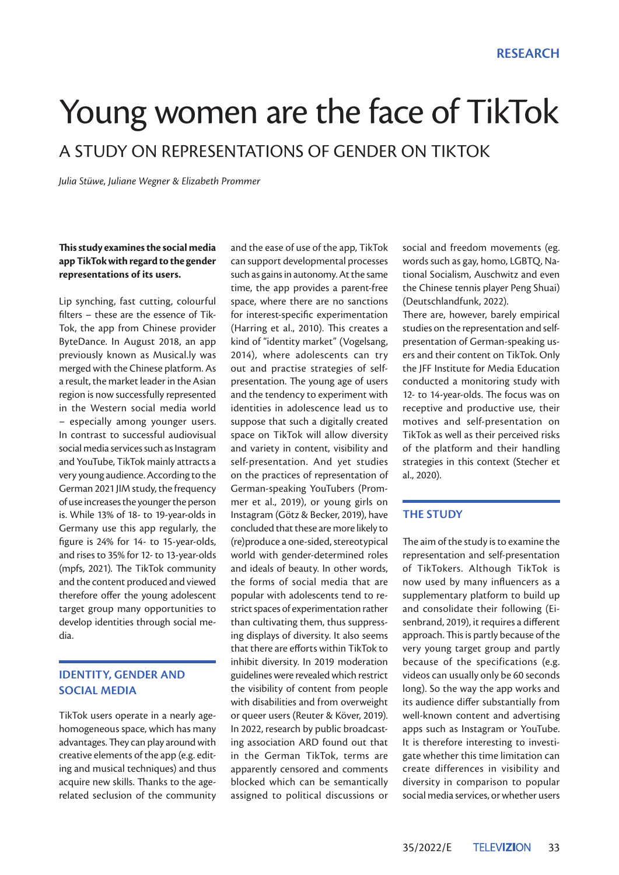# Young women are the face of TikTok A STUDY ON REPRESENTATIONS OF GENDER ON TIKTOK

*Julia Stüwe, Juliane Wegner & Elizabeth Prommer*

## **This study examines the social media app TikTok with regard to the gender representations of its users.**

Lip synching, fast cutting, colourful filters – these are the essence of Tik-Tok, the app from Chinese provider ByteDance. In August 2018, an app previously known as Musical.ly was merged with the Chinese platform. As a result, the market leader in the Asian region is now successfully represented in the Western social media world – especially among younger users. In contrast to successful audiovisual social media services such as Instagram and YouTube, TikTok mainly attracts a very young audience. According to the German 2021 JIM study, the frequency of use increases the younger the person is. While 13% of 18- to 19-year-olds in Germany use this app regularly, the figure is 24% for 14- to 15-year-olds, and rises to 35% for 12- to 13-year-olds (mpfs, 2021). The TikTok community and the content produced and viewed therefore offer the young adolescent target group many opportunities to develop identities through social media.

# **IDENTITY, GENDER AND SOCIAL MEDIA**

TikTok users operate in a nearly agehomogeneous space, which has many advantages. They can play around with creative elements of the app (e.g. editing and musical techniques) and thus acquire new skills. Thanks to the agerelated seclusion of the community

and the ease of use of the app, TikTok can support developmental processes such as gains in autonomy. At the same time, the app provides a parent-free space, where there are no sanctions for interest-specific experimentation (Harring et al., 2010). This creates a kind of "identity market" (Vogelsang, 2014), where adolescents can try out and practise strategies of selfpresentation. The young age of users and the tendency to experiment with identities in adolescence lead us to suppose that such a digitally created space on TikTok will allow diversity and variety in content, visibility and self-presentation. And yet studies on the practices of representation of German-speaking YouTubers (Prommer et al., 2019), or young girls on Instagram (Götz & Becker, 2019), have concluded that these are more likely to (re)produce a one-sided, stereotypical world with gender-determined roles and ideals of beauty. In other words, the forms of social media that are popular with adolescents tend to restrict spaces of experimentation rather than cultivating them, thus suppressing displays of diversity. It also seems that there are efforts within TikTok to inhibit diversity. In 2019 moderation guidelines were revealed which restrict the visibility of content from people with disabilities and from overweight or queer users (Reuter & Köver, 2019). In 2022, research by public broadcasting association ARD found out that in the German TikTok, terms are apparently censored and comments blocked which can be semantically assigned to political discussions or social and freedom movements (eg. words such as gay, homo, LGBTQ, National Socialism, Auschwitz and even the Chinese tennis player Peng Shuai) (Deutschlandfunk, 2022).

There are, however, barely empirical studies on the representation and selfpresentation of German-speaking users and their content on TikTok. Only the JFF Institute for Media Education conducted a monitoring study with 12- to 14-year-olds. The focus was on receptive and productive use, their motives and self-presentation on TikTok as well as their perceived risks of the platform and their handling strategies in this context (Stecher et al., 2020).

## **THE STUDY**

The aim of the study is to examine the representation and self-presentation of TikTokers. Although TikTok is now used by many influencers as a supplementary platform to build up and consolidate their following (Eisenbrand, 2019), it requires a different approach. This is partly because of the very young target group and partly because of the specifications (e.g. videos can usually only be 60 seconds long). So the way the app works and its audience differ substantially from well-known content and advertising apps such as Instagram or YouTube. It is therefore interesting to investigate whether this time limitation can create differences in visibility and diversity in comparison to popular social media services, or whether users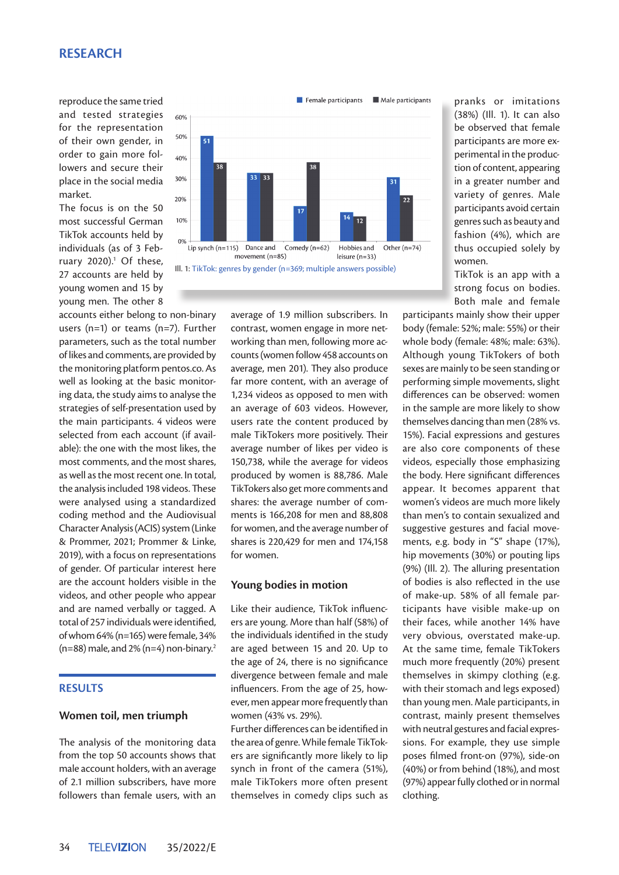# **RESEARCH**

reproduce the same tried and tested strategies for the representation of their own gender, in order to gain more followers and secure their place in the social media market.

The focus is on the 50 most successful German TikTok accounts held by individuals (as of 3 February  $2020$ ).<sup>1</sup> Of these, 27 accounts are held by young women and 15 by young men. The other 8

accounts either belong to non-binary users (n=1) or teams (n=7). Further parameters, such as the total number of likes and comments, are provided by the monitoring platform pentos.co. As well as looking at the basic monitoring data, the study aims to analyse the strategies of self-presentation used by the main participants. 4 videos were selected from each account (if available): the one with the most likes, the most comments, and the most shares, as well as the most recent one. In total, the analysis included 198 videos. These were analysed using a standardized coding method and the Audiovisual Character Analysis (ACIS) system (Linke & Prommer, 2021; Prommer & Linke, 2019), with a focus on representations of gender. Of particular interest here are the account holders visible in the videos, and other people who appear and are named verbally or tagged. A total of 257 individuals were identified, of whom 64% (n=165) were female, 34%  $(n=88)$  male, and 2%  $(n=4)$  non-binary.<sup>2</sup>

### **RESULTS**

#### **Women toil, men triumph**

The analysis of the monitoring data from the top 50 accounts shows that male account holders, with an average of 2.1 million subscribers, have more followers than female users, with an



average of 1.9 million subscribers. In contrast, women engage in more networking than men, following more accounts (women follow 458 accounts on average, men 201). They also produce far more content, with an average of 1,234 videos as opposed to men with an average of 603 videos. However, users rate the content produced by male TikTokers more positively. Their average number of likes per video is 150,738, while the average for videos produced by women is 88,786. Male TikTokers also get more comments and shares: the average number of comments is 166,208 for men and 88,808 for women, and the average number of shares is 220,429 for men and 174,158 for women.

#### **Young bodies in motion**

Like their audience, TikTok influencers are young. More than half (58%) of the individuals identified in the study are aged between 15 and 20. Up to the age of 24, there is no significance divergence between female and male influencers. From the age of 25, however, men appear more frequently than women (43% vs. 29%).

Further differences can be identified in the area of genre. While female TikTokers are significantly more likely to lip synch in front of the camera (51%), male TikTokers more often present themselves in comedy clips such as pranks or imitations (38%) (Ill. 1). It can also be observed that female participants are more experimental in the production of content, appearing in a greater number and variety of genres. Male participants avoid certain genres such as beauty and fashion (4%), which are thus occupied solely by women.

TikTok is an app with a strong focus on bodies. Both male and female

participants mainly show their upper body (female: 52%; male: 55%) or their whole body (female: 48%; male: 63%). Although young TikTokers of both sexes are mainly to be seen standing or performing simple movements, slight differences can be observed: women in the sample are more likely to show themselves dancing than men (28% vs. 15%). Facial expressions and gestures are also core components of these videos, especially those emphasizing the body. Here significant differences appear. It becomes apparent that women's videos are much more likely than men's to contain sexualized and suggestive gestures and facial movements, e.g. body in "S" shape (17%), hip movements (30%) or pouting lips (9%) (Ill. 2). The alluring presentation of bodies is also reflected in the use of make-up. 58% of all female participants have visible make-up on their faces, while another 14% have very obvious, overstated make-up. At the same time, female TikTokers much more frequently (20%) present themselves in skimpy clothing (e.g. with their stomach and legs exposed) than young men. Male participants, in contrast, mainly present themselves with neutral gestures and facial expressions. For example, they use simple poses filmed front-on (97%), side-on (40%) or from behind (18%), and most (97%) appear fully clothed or in normal clothing.